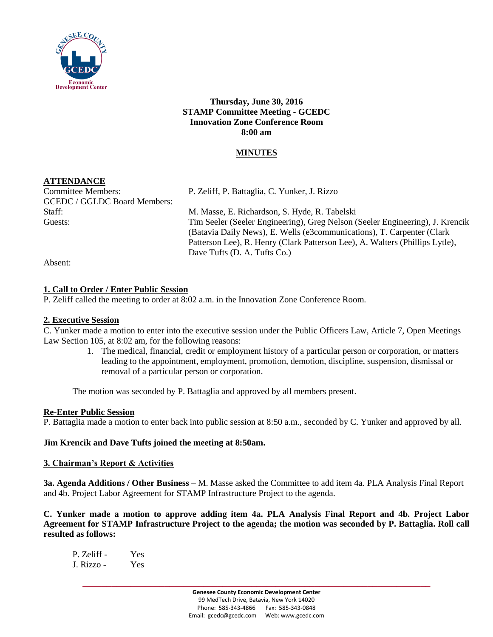

**Thursday, June 30, 2016 STAMP Committee Meeting - GCEDC Innovation Zone Conference Room 8:00 am**

## **MINUTES**

## **ATTENDANCE**

GCEDC / GGLDC Board Members:

Committee Members: P. Zeliff, P. Battaglia, C. Yunker, J. Rizzo

Staff: M. Masse, E. Richardson, S. Hyde, R. Tabelski Guests: Tim Seeler (Seeler Engineering), Greg Nelson (Seeler Engineering), J. Krencik (Batavia Daily News), E. Wells (e3communications), T. Carpenter (Clark Patterson Lee), R. Henry (Clark Patterson Lee), A. Walters (Phillips Lytle), Dave Tufts (D. A. Tufts Co.)

Absent:

## **1. Call to Order / Enter Public Session**

P. Zeliff called the meeting to order at 8:02 a.m. in the Innovation Zone Conference Room.

## **2. Executive Session**

C. Yunker made a motion to enter into the executive session under the Public Officers Law, Article 7, Open Meetings Law Section 105, at 8:02 am, for the following reasons:

1. The medical, financial, credit or employment history of a particular person or corporation, or matters leading to the appointment, employment, promotion, demotion, discipline, suspension, dismissal or removal of a particular person or corporation.

The motion was seconded by P. Battaglia and approved by all members present.

## **Re-Enter Public Session**

P. Battaglia made a motion to enter back into public session at 8:50 a.m., seconded by C. Yunker and approved by all.

## **Jim Krencik and Dave Tufts joined the meeting at 8:50am.**

## **3. Chairman's Report & Activities**

**3a. Agenda Additions / Other Business –** M. Masse asked the Committee to add item 4a. PLA Analysis Final Report and 4b. Project Labor Agreement for STAMP Infrastructure Project to the agenda.

**C. Yunker made a motion to approve adding item 4a. PLA Analysis Final Report and 4b. Project Labor Agreement for STAMP Infrastructure Project to the agenda; the motion was seconded by P. Battaglia. Roll call resulted as follows:**

| P. Zeliff - | <b>Yes</b> |
|-------------|------------|
| J. Rizzo -  | <b>Yes</b> |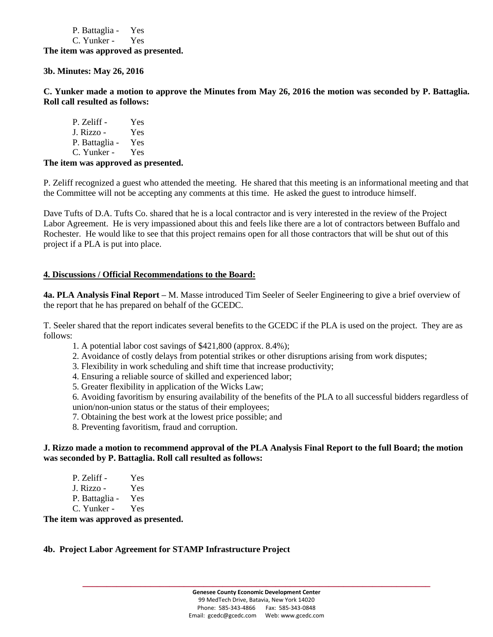P. Battaglia - Yes C. Yunker - Yes **The item was approved as presented.**

**3b. Minutes: May 26, 2016**

**C. Yunker made a motion to approve the Minutes from May 26, 2016 the motion was seconded by P. Battaglia. Roll call resulted as follows:**

P. Zeliff - Yes J. Rizzo - Yes P. Battaglia - Yes C. Yunker - Yes

**The item was approved as presented.**

P. Zeliff recognized a guest who attended the meeting. He shared that this meeting is an informational meeting and that the Committee will not be accepting any comments at this time. He asked the guest to introduce himself.

Dave Tufts of D.A. Tufts Co. shared that he is a local contractor and is very interested in the review of the Project Labor Agreement. He is very impassioned about this and feels like there are a lot of contractors between Buffalo and Rochester. He would like to see that this project remains open for all those contractors that will be shut out of this project if a PLA is put into place.

## **4. Discussions / Official Recommendations to the Board:**

**4a. PLA Analysis Final Report** – M. Masse introduced Tim Seeler of Seeler Engineering to give a brief overview of the report that he has prepared on behalf of the GCEDC.

T. Seeler shared that the report indicates several benefits to the GCEDC if the PLA is used on the project. They are as follows:

- 1. A potential labor cost savings of \$421,800 (approx. 8.4%);
- 2. Avoidance of costly delays from potential strikes or other disruptions arising from work disputes;
- 3. Flexibility in work scheduling and shift time that increase productivity;
- 4. Ensuring a reliable source of skilled and experienced labor;
- 5. Greater flexibility in application of the Wicks Law;

6. Avoiding favoritism by ensuring availability of the benefits of the PLA to all successful bidders regardless of union/non-union status or the status of their employees;

- 7. Obtaining the best work at the lowest price possible; and
- 8. Preventing favoritism, fraud and corruption.

## **J. Rizzo made a motion to recommend approval of the PLA Analysis Final Report to the full Board; the motion was seconded by P. Battaglia. Roll call resulted as follows:**

| P. Zeliff -    | Yes |
|----------------|-----|
| J. Rizzo -     | Yes |
| P. Battaglia - | Yes |
| C. Yunker -    | Yes |

**The item was approved as presented.**

#### **4b. Project Labor Agreement for STAMP Infrastructure Project**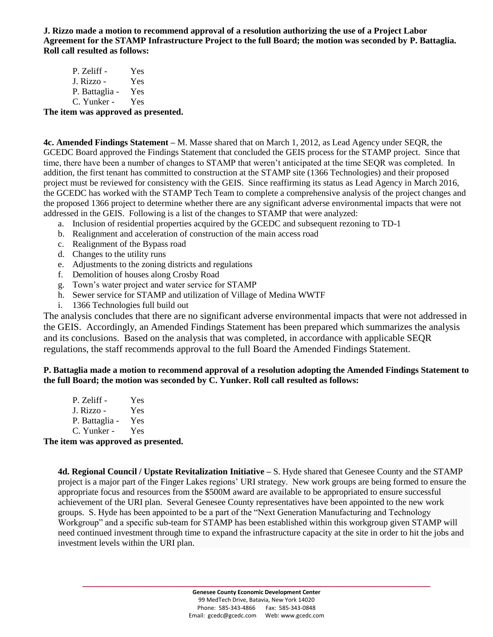**J. Rizzo made a motion to recommend approval of a resolution authorizing the use of a Project Labor Agreement for the STAMP Infrastructure Project to the full Board; the motion was seconded by P. Battaglia. Roll call resulted as follows:**

| P. Zeliff -    | Yes |
|----------------|-----|
| J. Rizzo -     | Yes |
| P. Battaglia - | Yes |
| C. Yunker -    | Yes |

## **The item was approved as presented.**

**4c. Amended Findings Statement –** M. Masse shared that on March 1, 2012, as Lead Agency under SEQR, the GCEDC Board approved the Findings Statement that concluded the GEIS process for the STAMP project. Since that time, there have been a number of changes to STAMP that weren't anticipated at the time SEQR was completed. In addition, the first tenant has committed to construction at the STAMP site (1366 Technologies) and their proposed project must be reviewed for consistency with the GEIS. Since reaffirming its status as Lead Agency in March 2016, the GCEDC has worked with the STAMP Tech Team to complete a comprehensive analysis of the project changes and the proposed 1366 project to determine whether there are any significant adverse environmental impacts that were not addressed in the GEIS. Following is a list of the changes to STAMP that were analyzed:

- a. Inclusion of residential properties acquired by the GCEDC and subsequent rezoning to TD-1
- b. Realignment and acceleration of construction of the main access road
- c. Realignment of the Bypass road
- d. Changes to the utility runs
- e. Adjustments to the zoning districts and regulations
- f. Demolition of houses along Crosby Road
- g. Town's water project and water service for STAMP
- h. Sewer service for STAMP and utilization of Village of Medina WWTF
- i. 1366 Technologies full build out

The analysis concludes that there are no significant adverse environmental impacts that were not addressed in the GEIS. Accordingly, an Amended Findings Statement has been prepared which summarizes the analysis and its conclusions. Based on the analysis that was completed, in accordance with applicable SEQR regulations, the staff recommends approval to the full Board the Amended Findings Statement.

## **P. Battaglia made a motion to recommend approval of a resolution adopting the Amended Findings Statement to the full Board; the motion was seconded by C. Yunker. Roll call resulted as follows:**

| P. Zeliff -    | <b>Yes</b> |
|----------------|------------|
| J. Rizzo -     | Yes        |
| P. Battaglia - | Yes        |
| C. Yunker -    | Yes        |

**The item was approved as presented.**

**4d. Regional Council / Upstate Revitalization Initiative –** S. Hyde shared that Genesee County and the STAMP project is a major part of the Finger Lakes regions' URI strategy. New work groups are being formed to ensure the appropriate focus and resources from the \$500M award are available to be appropriated to ensure successful achievement of the URI plan. Several Genesee County representatives have been appointed to the new work groups. S. Hyde has been appointed to be a part of the "Next Generation Manufacturing and Technology Workgroup" and a specific sub-team for STAMP has been established within this workgroup given STAMP will need continued investment through time to expand the infrastructure capacity at the site in order to hit the jobs and investment levels within the URI plan.